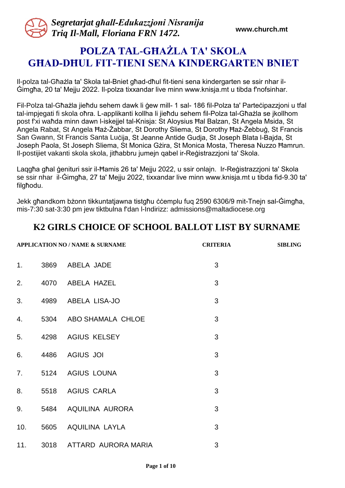# **POLZA TAL-GĦAŻLA TA' SKOLA GĦAD-DĦUL FIT-TIENI SENA KINDERGARTEN BNIET**

Il-polza tal-Għażla ta' Skola tal-Bniet għad-dħul fit-tieni sena kindergarten se ssir nhar il-Ġimgħa, 20 ta' Mejju 2022. Il-polza tixxandar live minn www.knisja.mt u tibda f'nofsinhar.

Fil-Polza tal-Għażla jieħdu sehem dawk li ġew mill- 1 sal- 186 fil-Polza ta' Parteċipazzjoni u tfal tal-impjegati fi skola oħra. L-applikanti kollha li jieħdu sehem fil-Polza tal-Għażla se jkollhom post f'xi waħda minn dawn l-iskejjel tal-Knisja: St Aloysius Ħal Balzan, St Angela Msida, St Angela Rabat, St Angela Ħaż-Żabbar, St Dorothy Sliema, St Dorothy Ħaż-Żebbuġ, St Francis San Gwann, St Francis Santa Luċija, St Jeanne Antide Gudja, St Joseph Blata l-Bajda, St Joseph Paola, St Joseph Sliema, St Monica Gżira, St Monica Mosta, Theresa Nuzzo Ħamrun. Il-postijiet vakanti skola skola, jitħabbru jumejn qabel ir-Reġistrazzjoni ta' Skola.

Laqgħa għal ġenituri ssir il-Ħamis 26 ta' Mejju 2022, u ssir onlajn. Ir-Reġistrazzjoni ta' Skola se ssir nhar il-Ġimgħa, 27 ta' Mejju 2022, tixxandar live minn www.knisja.mt u tibda fid-9.30 ta' filgħodu.

Jekk għandkom bżonn tikkuntatjawna tistgħu ċċemplu fuq 2590 6306/9 mit-Tnejn sal-Ġimgħa, mis-7:30 sat-3:30 pm jew tiktbulna f'dan l-Indirizz: admissions@maltadiocese.org

|     |      | <b>APPLICATION NO / NAME &amp; SURNAME</b> | <b>CRITERIA</b> | <b>SIBLING</b> |
|-----|------|--------------------------------------------|-----------------|----------------|
| 1.  | 3869 | ABELA JADE                                 | 3               |                |
| 2.  |      | 4070 ABELA HAZEL                           | 3               |                |
| 3.  |      | 4989 ABELA LISA-JO                         | 3               |                |
| 4.  |      | 5304 ABO SHAMALA CHLOE                     | 3               |                |
| 5.  |      | 4298 AGIUS KELSEY                          | 3               |                |
| 6.  | 4486 | <b>AGIUS JOI</b>                           | 3               |                |
| 7.  |      | 5124 AGIUS LOUNA                           | 3               |                |
| 8.  |      | 5518 AGIUS CARLA                           | 3               |                |
| 9.  | 5484 | AQUILINA AURORA                            | 3               |                |
| 10. | 5605 | AQUILINA LAYLA                             | 3               |                |
| 11. |      | 3018 ATTARD AURORA MARIA                   | 3               |                |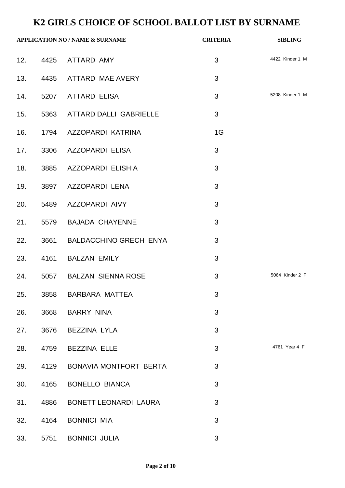| <b>APPLICATION NO / NAME &amp; SURNAME</b> |      | <b>CRITERIA</b>                 | <b>SIBLING</b> |                 |
|--------------------------------------------|------|---------------------------------|----------------|-----------------|
|                                            |      | 12. 4425 ATTARD AMY             | 3              | 4422 Kinder 1 M |
| 13.                                        |      | 4435 ATTARD MAE AVERY           | 3              |                 |
| 14.                                        |      | 5207 ATTARD ELISA               | 3              | 5208 Kinder 1 M |
|                                            |      | 15. 5363 ATTARD DALLI GABRIELLE | 3              |                 |
| 16.                                        |      | 1794 AZZOPARDI KATRINA          | 1G             |                 |
|                                            |      | 17. 3306 AZZOPARDI ELISA        | 3              |                 |
| 18.                                        |      | 3885 AZZOPARDI ELISHIA          | 3              |                 |
| 19.                                        |      | 3897 AZZOPARDI LENA             | 3              |                 |
|                                            |      | 20. 5489 AZZOPARDI AIVY         | 3              |                 |
| 21.                                        |      | 5579 BAJADA CHAYENNE            | 3              |                 |
| 22.                                        |      | 3661 BALDACCHINO GRECH ENYA     | 3              |                 |
| 23.                                        |      | 4161 BALZAN EMILY               | 3              |                 |
|                                            |      | 24. 5057 BALZAN SIENNA ROSE     | $\mathfrak{S}$ | 5064 Kinder 2 F |
| 25.                                        |      | 3858 BARBARA MATTEA             | 3              |                 |
| 26.                                        | 3668 | BARRY NINA                      | $\mathfrak{S}$ |                 |
| 27.                                        | 3676 | BEZZINA LYLA                    | 3              |                 |
| 28.                                        |      | 4759 BEZZINA ELLE               | 3              | 4761 Year 4 F   |
| 29.                                        |      | 4129 BONAVIA MONTFORT BERTA     | 3              |                 |
| 30.                                        | 4165 | <b>BONELLO BIANCA</b>           | 3              |                 |
| 31.                                        | 4886 | <b>BONETT LEONARDI LAURA</b>    | 3              |                 |
| 32.                                        | 4164 | <b>BONNICI MIA</b>              | 3              |                 |
| 33.                                        |      | 5751 BONNICI JULIA              | 3              |                 |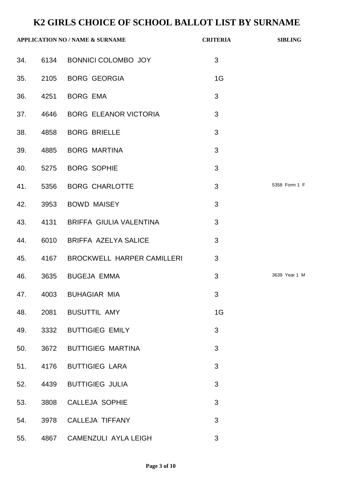| <b>APPLICATION NO / NAME &amp; SURNAME</b> |      |                                 | <b>CRITERIA</b> | <b>SIBLING</b> |
|--------------------------------------------|------|---------------------------------|-----------------|----------------|
|                                            |      | 34. 6134 BONNICI COLOMBO JOY    | 3               |                |
|                                            |      | 35. 2105 BORG GEORGIA           | 1G              |                |
| 36.                                        |      | 4251 BORG EMA                   | 3               |                |
|                                            |      | 37. 4646 BORG ELEANOR VICTORIA  | 3               |                |
| 38.                                        |      | 4858 BORG BRIELLE               | 3               |                |
| 39.                                        |      | 4885 BORG MARTINA               | 3               |                |
|                                            |      | 40. 5275 BORG SOPHIE            | 3               |                |
| 41.                                        |      | 5356 BORG CHARLOTTE             | 3               | 5358 Form 1 F  |
|                                            |      | 42. 3953 BOWD MAISEY            | 3               |                |
| 43.                                        |      | 4131 BRIFFA GIULIA VALENTINA    | 3               |                |
| 44.                                        |      | 6010 BRIFFA AZELYA SALICE       | 3               |                |
| 45.                                        |      | 4167 BROCKWELL HARPER CAMILLERI | 3               |                |
|                                            |      | 46. 3635 BUGEJA EMMA            | 3               | 3639 Year 1 M  |
| 47.                                        |      | 4003 BUHAGIAR MIA               | 3               |                |
| 48.                                        | 2081 | <b>BUSUTTIL AMY</b>             | 1G              |                |
| 49.                                        | 3332 | <b>BUTTIGIEG EMILY</b>          | 3               |                |
| 50.                                        | 3672 | <b>BUTTIGIEG MARTINA</b>        | 3               |                |
| 51.                                        | 4176 | <b>BUTTIGIEG LARA</b>           | 3               |                |
| 52.                                        | 4439 | <b>BUTTIGIEG JULIA</b>          | 3               |                |
| 53.                                        | 3808 | <b>CALLEJA SOPHIE</b>           | 3               |                |
| 54.                                        | 3978 | CALLEJA TIFFANY                 | 3               |                |
| 55.                                        | 4867 | CAMENZULI AYLA LEIGH            | 3               |                |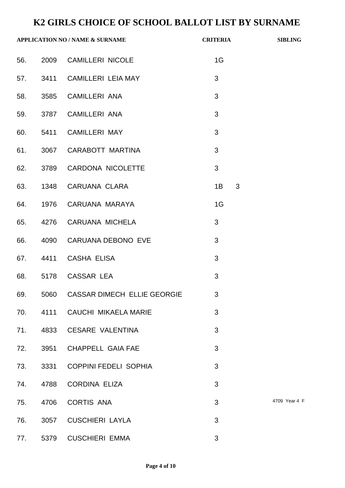|     |      | <b>APPLICATION NO / NAME &amp; SURNAME</b> | <b>CRITERIA</b> | <b>SIBLING</b> |
|-----|------|--------------------------------------------|-----------------|----------------|
| 56. |      | 2009 CAMILLERI NICOLE                      | 1G              |                |
|     |      | 57. 3411 CAMILLERI LEIA MAY                | 3               |                |
| 58. |      | 3585 CAMILLERI ANA                         | 3               |                |
| 59. |      | 3787 CAMILLERI ANA                         | 3               |                |
| 60. |      | 5411 CAMILLERI MAY                         | 3               |                |
| 61. |      | 3067 CARABOTT MARTINA                      | 3               |                |
| 62. |      | 3789 CARDONA NICOLETTE                     | 3               |                |
| 63. |      | 1348 CARUANA CLARA                         | 3<br>1B         |                |
| 64. |      | 1976 CARUANA MARAYA                        | 1G              |                |
| 65. |      | 4276 CARUANA MICHELA                       | 3               |                |
| 66. |      | 4090 CARUANA DEBONO EVE                    | 3               |                |
| 67. |      | 4411 CASHA ELISA                           | 3               |                |
| 68. |      | 5178 CASSAR LEA                            | 3               |                |
| 69. | 5060 | CASSAR DIMECH ELLIE GEORGIE                | 3               |                |
|     |      | 70. 4111 CAUCHI MIKAELA MARIE              | 3               |                |
| 71. | 4833 | <b>CESARE VALENTINA</b>                    | 3               |                |
| 72. | 3951 | <b>CHAPPELL GAIA FAE</b>                   | 3               |                |
| 73. |      | 3331 COPPINI FEDELI SOPHIA                 | 3               |                |
| 74. | 4788 | <b>CORDINA ELIZA</b>                       | 3               |                |
| 75. | 4706 | <b>CORTIS ANA</b>                          | 3               | 4709 Year 4 F  |
| 76. | 3057 | <b>CUSCHIERI LAYLA</b>                     | 3               |                |
| 77. | 5379 | <b>CUSCHIERI EMMA</b>                      | 3               |                |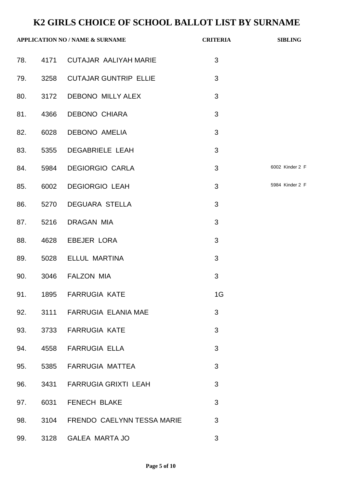| <b>APPLICATION NO / NAME &amp; SURNAME</b> |      | <b>CRITERIA</b>                | <b>SIBLING</b> |                 |
|--------------------------------------------|------|--------------------------------|----------------|-----------------|
|                                            |      | 78. 4171 CUTAJAR AALIYAH MARIE | 3              |                 |
|                                            |      | 79. 3258 CUTAJAR GUNTRIP ELLIE | 3              |                 |
| 80.                                        |      | 3172 DEBONO MILLY ALEX         | 3              |                 |
|                                            |      | 81. 4366 DEBONO CHIARA         | 3              |                 |
| 82.                                        |      | 6028 DEBONO AMELIA             | 3              |                 |
| 83.                                        |      | 5355 DEGABRIELE LEAH           | 3              |                 |
|                                            |      | 84. 5984 DEGIORGIO CARLA       | 3              | 6002 Kinder 2 F |
| 85.                                        |      | 6002 DEGIORGIO LEAH            | 3              | 5984 Kinder 2 F |
| 86.                                        |      | 5270 DEGUARA STELLA            | 3              |                 |
| 87.                                        |      | 5216 DRAGAN MIA                | 3              |                 |
| 88.                                        |      | 4628 EBEJER LORA               | 3              |                 |
| 89.                                        |      | 5028 ELLUL MARTINA             | 3              |                 |
| 90.                                        |      | 3046 FALZON MIA                | 3              |                 |
| 91.                                        | 1895 | <b>FARRUGIA KATE</b>           | 1G             |                 |
| 92.                                        |      | 3111 FARRUGIA ELANIA MAE       | 3              |                 |
| 93.                                        | 3733 | <b>FARRUGIA KATE</b>           | 3              |                 |
| 94.                                        | 4558 | <b>FARRUGIA ELLA</b>           | 3              |                 |
| 95.                                        | 5385 | <b>FARRUGIA MATTEA</b>         | 3              |                 |
| 96.                                        | 3431 | <b>FARRUGIA GRIXTI LEAH</b>    | 3              |                 |
| 97.                                        | 6031 | FENECH BLAKE                   | 3              |                 |
| 98.                                        | 3104 | FRENDO CAELYNN TESSA MARIE     | 3              |                 |
| 99.                                        | 3128 | GALEA MARTA JO                 | 3              |                 |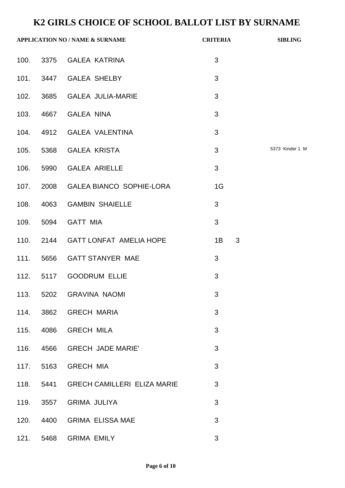| <b>APPLICATION NO / NAME &amp; SURNAME</b> |           |                                    | <b>CRITERIA</b> | <b>SIBLING</b>  |
|--------------------------------------------|-----------|------------------------------------|-----------------|-----------------|
|                                            |           | 100. 3375 GALEA KATRINA            | 3               |                 |
|                                            |           | 101. 3447 GALEA SHELBY             | 3               |                 |
|                                            |           | 102. 3685 GALEA JULIA-MARIE        | 3               |                 |
|                                            |           | 103. 4667 GALEA NINA               | 3               |                 |
| 104.                                       |           | 4912 GALEA VALENTINA               | 3               |                 |
|                                            |           | 105. 5368 GALEA KRISTA             | 3               | 5373 Kinder 1 N |
| 106.                                       |           | 5990 GALEA ARIELLE                 | 3               |                 |
|                                            |           | 107. 2008 GALEA BIANCO SOPHIE-LORA | 1G              |                 |
| 108.                                       |           | 4063 GAMBIN SHAIELLE               | 3               |                 |
| 109.                                       |           | 5094 GATT MIA                      | 3               |                 |
|                                            |           | 110. 2144 GATT LONFAT AMELIA HOPE  | 1B<br>3         |                 |
|                                            |           | 111. 5656 GATT STANYER MAE         | 3               |                 |
|                                            | 112. 5117 | <b>GOODRUM ELLIE</b>               | 3               |                 |
| 113.                                       |           | 5202 GRAVINA NAOMI                 | 3               |                 |
| 114.                                       |           | 3862 GRECH MARIA                   | 3               |                 |
| 115.                                       | 4086      | <b>GRECH MILA</b>                  | 3               |                 |
| 116.                                       | 4566      | <b>GRECH JADE MARIE'</b>           | 3               |                 |
| 117.                                       | 5163      | <b>GRECH MIA</b>                   | 3               |                 |
| 118.                                       | 5441      | <b>GRECH CAMILLERI ELIZA MARIE</b> | 3               |                 |
| 119.                                       | 3557      | <b>GRIMA JULIYA</b>                | 3               |                 |
| 120.                                       | 4400      | <b>GRIMA ELISSA MAE</b>            | 3               |                 |
| 121.                                       | 5468      | <b>GRIMA EMILY</b>                 | 3               |                 |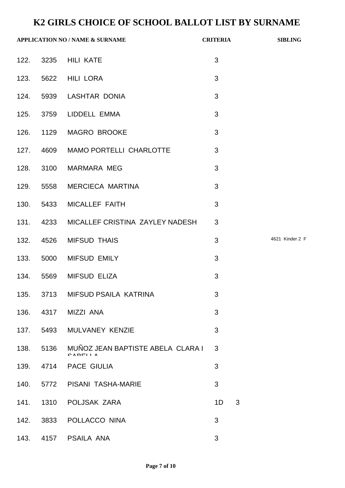|      |           | <b>APPLICATION NO / NAME &amp; SURNAME</b>   |                | <b>CRITERIA</b> | <b>SIBLING</b>  |
|------|-----------|----------------------------------------------|----------------|-----------------|-----------------|
|      |           | 122. 3235 HILI KATE                          | 3              |                 |                 |
|      |           | 123. 5622 HILI LORA                          | 3              |                 |                 |
|      |           | 124. 5939 LASHTAR DONIA                      | 3              |                 |                 |
|      |           | 125. 3759 LIDDELL EMMA                       | 3              |                 |                 |
|      |           | 126. 1129 MAGRO BROOKE                       | 3              |                 |                 |
|      |           | 127. 4609 MAMO PORTELLI CHARLOTTE            | 3              |                 |                 |
|      |           | 128. 3100 MARMARA MEG                        | 3              |                 |                 |
| 129. |           | 5558 MERCIECA MARTINA                        | 3              |                 |                 |
|      |           | 130. 5433 MICALLEF FAITH                     | 3              |                 |                 |
|      |           | 131. 4233 MICALLEF CRISTINA ZAYLEY NADESH    | 3              |                 |                 |
|      |           | 132. 4526 MIFSUD THAIS                       | 3              |                 | 4621 Kinder 2 F |
|      |           | 133. 5000 MIFSUD EMILY                       | 3              |                 |                 |
| 134. |           | 5569 MIFSUD ELIZA                            | 3              |                 |                 |
| 135. | 3713      | MIFSUD PSAILA KATRINA                        | 3              |                 |                 |
|      | 136. 4317 | MIZZI ANA                                    | 3              |                 |                 |
| 137. |           | 5493 MULVANEY KENZIE                         | 3              |                 |                 |
| 138. | 5136      | MUÑOZ JEAN BAPTISTE ABELA CLARA I<br>CADELLA | 3              |                 |                 |
| 139. |           | 4714 PACE GIULIA                             | 3              |                 |                 |
| 140. |           | 5772 PISANI TASHA-MARIE                      | 3              |                 |                 |
| 141. |           | 1310 POLJSAK ZARA                            | 1 <sub>D</sub> | 3               |                 |
| 142. |           | 3833 POLLACCO NINA                           | 3              |                 |                 |
| 143. |           | 4157 PSAILA ANA                              | 3              |                 |                 |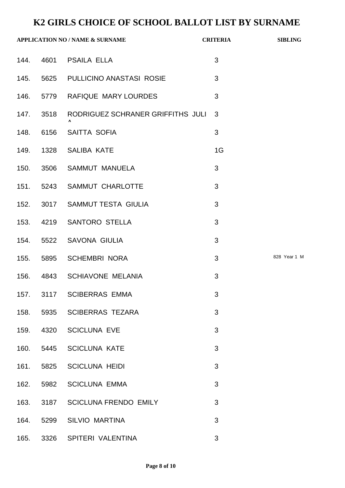|      |           | <b>APPLICATION NO / NAME &amp; SURNAME</b> | <b>CRITERIA</b> | <b>SIBLING</b> |
|------|-----------|--------------------------------------------|-----------------|----------------|
|      |           | 144. 4601 PSAILA ELLA                      | 3               |                |
| 145. |           | 5625 PULLICINO ANASTASI ROSIE              | 3               |                |
| 146. |           | 5779 RAFIQUE MARY LOURDES                  | 3               |                |
|      | 147. 3518 | RODRIGUEZ SCHRANER GRIFFITHS JULI          | 3               |                |
| 148. | 6156      | SAITTA SOFIA                               | 3               |                |
|      |           | 149. 1328 SALIBA KATE                      | 1G              |                |
| 150. |           | 3506 SAMMUT MANUELA                        | 3               |                |
|      |           | 151. 5243 SAMMUT CHARLOTTE                 | 3               |                |
|      |           | 152. 3017 SAMMUT TESTA GIULIA              | 3               |                |
| 153. |           | 4219 SANTORO STELLA                        | 3               |                |
|      |           | 154. 5522 SAVONA GIULIA                    | 3               |                |
|      |           | 155. 5895 SCHEMBRI NORA                    | 3               | 828 Year 1 M   |
|      |           | 156. 4843 SCHIAVONE MELANIA                | 3               |                |
| 157. |           | 3117 SCIBERRAS EMMA                        | 3               |                |
| 158. |           | 5935 SCIBERRAS TEZARA                      | 3               |                |
| 159. |           | 4320 SCICLUNA EVE                          | 3               |                |
|      | 160. 5445 | <b>SCICLUNA KATE</b>                       | 3               |                |
| 161. |           | 5825 SCICLUNA HEIDI                        | 3               |                |
| 162. | 5982      | <b>SCICLUNA EMMA</b>                       | 3               |                |
| 163. | 3187      | <b>SCICLUNA FRENDO EMILY</b>               | 3               |                |
| 164. | 5299      | <b>SILVIO MARTINA</b>                      | 3               |                |
| 165. |           | 3326 SPITERI VALENTINA                     | 3               |                |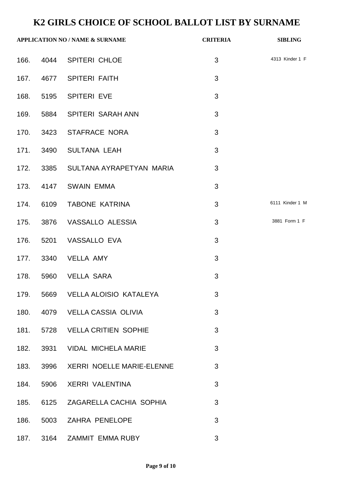| <b>APPLICATION NO / NAME &amp; SURNAME</b> |      |                                    | <b>CRITERIA</b> | <b>SIBLING</b>  |
|--------------------------------------------|------|------------------------------------|-----------------|-----------------|
|                                            |      | 166. 4044 SPITERI CHLOE            | 3               | 4313 Kinder 1 F |
|                                            |      | 167. 4677 SPITERI FAITH            | 3               |                 |
| 168.                                       |      | 5195 SPITERI EVE                   | 3               |                 |
|                                            |      | 169. 5884 SPITERI SARAH ANN        | 3               |                 |
|                                            |      | 170. 3423 STAFRACE NORA            | 3               |                 |
|                                            |      | 171. 3490 SULTANA LEAH             | 3               |                 |
|                                            |      | 172. 3385 SULTANA AYRAPETYAN MARIA | 3               |                 |
|                                            |      | 173. 4147 SWAIN EMMA               | 3               |                 |
| 174.                                       |      | 6109 TABONE KATRINA                | 3               | 6111 Kinder 1 M |
|                                            |      | 175. 3876 VASSALLO ALESSIA         | 3               | 3881 Form 1 F   |
| 176.                                       |      | 5201 VASSALLO EVA                  | 3               |                 |
|                                            |      | 177. 3340 VELLA AMY                | 3               |                 |
|                                            |      | 178. 5960 VELLA SARA               | 3               |                 |
| 179.                                       | 5669 | <b>VELLA ALOISIO KATALEYA</b>      | 3               |                 |
| 180.                                       |      | 4079 VELLA CASSIA OLIVIA           | 3               |                 |
| 181.                                       |      | 5728 VELLA CRITIEN SOPHIE          | 3               |                 |
| 182.                                       |      | 3931 VIDAL MICHELA MARIE           | 3               |                 |
| 183.                                       |      | 3996 XERRI NOELLE MARIE-ELENNE     | 3               |                 |
| 184.                                       | 5906 | <b>XERRI VALENTINA</b>             | 3               |                 |
| 185.                                       |      | 6125 ZAGARELLA CACHIA SOPHIA       | 3               |                 |
| 186.                                       |      | 5003 ZAHRA PENELOPE                | 3               |                 |
| 187.                                       | 3164 | ZAMMIT EMMA RUBY                   | 3               |                 |